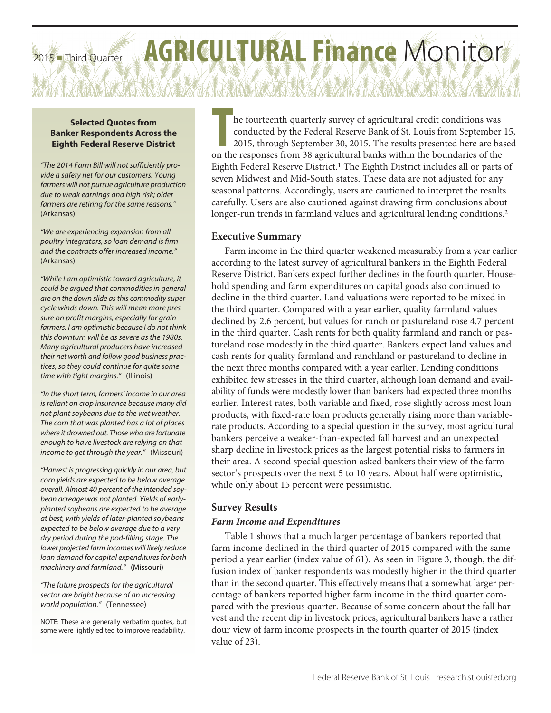# 2015 Third Quarter **AGRICULTURAL Finance** Monitor

## **Selected Quotes from Banker Respondents Across the Eighth Federal Reserve District**

*"The 2014 Farm Bill will not sufficiently provide a safety net for our customers. Young farmers will not pursue agriculture production due to weak earnings and high risk; older farmers are retiring for the same reasons."* (Arkansas)

*"We are experiencing expansion from all poultry integrators, so loan demand is firm and the contracts offer increased income."* (Arkansas)

*"While I am optimistic toward agriculture, it could be argued that commodities in general are on the down slide asthis commodity super cycle winds down. This will mean more pressure on profit margins, especially for grain farmers. I am optimistic because I do not think this downturn will be as severe as the 1980s. Many agricultural producers have increased their net worth and follow good business practices, so they could continue for quite some time with tight margins."* (Illinois)

*"In the short term, farmers' income in our area is reliant on crop insurance because many did not plant soybeans due to the wet weather. The corn that was planted has a lot of places where it drowned out. Those who are fortunate enough to have livestock are relying on that income to get through the year."* (Missouri)

*"Harvest is progressing quickly in our area, but corn yields are expected to be below average overall. Almost 40 percent of the intended soybean acreage was not planted. Yields of earlyplanted soybeans are expected to be average at best, with yields of later-planted soybeans expected to be below average due to a very dry period during the pod-filling stage. The lower projected farm incomes will likely reduce loan demand for capital expendituresfor both machinery and farmland."* (Missouri)

*"The future prospects for the agricultural sector are bright because of an increasing world population."* (Tennessee)

NOTE: These are generally verbatim quotes, but some were lightly edited to improve readability.

**THE REVIET SHERE IS SET AND THE THE RESPONSED THE RESPONSED TO A CONTROLLER 1015, through September 30, 2015. The results presented here are bank of the responses from 38 agricultural banks within the boundaries of the se** he fourteenth quarterly survey of agricultural credit conditions was conducted by the Federal Reserve Bank of St. Louis from September 15, 2015, through September 30, 2015. The results presented here are based Eighth Federal Reserve District. 1 The Eighth District includes all or parts of seven Midwest and Mid-South states. These data are not adjusted for any seasonal patterns. Accordingly, users are cautioned to interpret the results carefully. Users are also cautioned against drawing firm conclusions about longer-run trends in farmland values and agricultural lending conditions. 2

# **Executive Summary**

Farm income in the third quarter weakened measurably from a year earlier according to the latest survey of agricultural bankers in the Eighth Federal Reserve District. Bankers expect further declines in the fourth quarter. Household spending and farm expenditures on capital goods also continued to decline in the third quarter. Land valuations were reported to be mixed in the third quarter. Compared with a year earlier, quality farmland values declined by 2.6 percent, but values for ranch or pastureland rose 4.7 percent in the third quarter. Cash rents for both quality farmland and ranch or pastureland rose modestly in the third quarter. Bankers expect land values and cash rents for quality farmland and ranchland or pastureland to decline in the next three months compared with a year earlier. Lending conditions exhibited few stresses in the third quarter, although loan demand and availability of funds were modestly lower than bankers had expected three months earlier. Interest rates, both variable and fixed, rose slightly across most loan products, with fixed-rate loan products generally rising more than variablerate products. According to a special question in the survey, most agricultural bankers perceive a weaker-than-expected fall harvest and an unexpected sharp decline in livestock prices as the largest potential risks to farmers in their area. A second special question asked bankers their view of the farm sector's prospects over the next 5 to 10 years. About half were optimistic, while only about 15 percent were pessimistic.

# **Survey Results**

# *Farm Income and Expenditures*

Table 1 shows that a much larger percentage of bankers reported that farm income declined in the third quarter of 2015 compared with the same period a year earlier (index value of 61). As seen in Figure 3, though, the diffusion index of banker respondents was modestly higher in the third quarter than in the second quarter. This effectively means that a somewhat larger percentage of bankers reported higher farm income in the third quarter compared with the previous quarter. Because of some concern about the fall harvest and the recent dip in livestock prices, agricultural bankers have a rather dour view of farm income prospects in the fourth quarter of 2015 (index value of 23).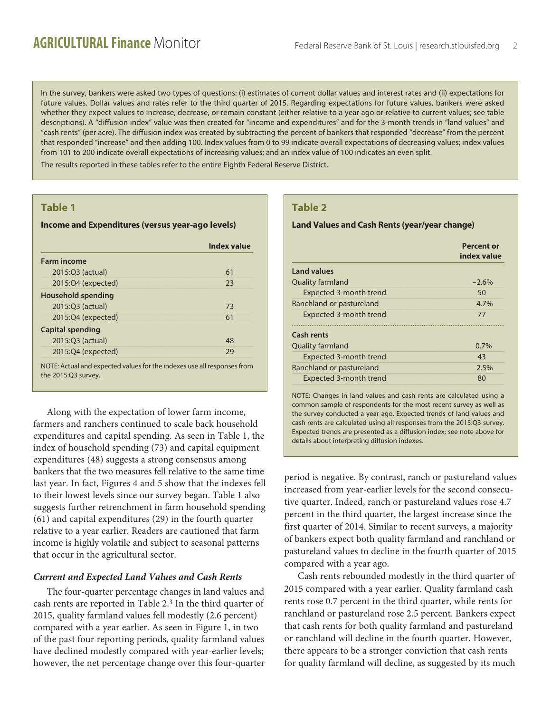In the survey, bankers were asked two types of questions: (i) estimates of current dollar values and interest rates and (ii) expectations for future values. Dollar values and rates refer to the third quarter of 2015. Regarding expectations for future values, bankers were asked whether they expect values to increase, decrease, or remain constant (either relative to a year ago or relative to current values; see table descriptions). A "diffusion index" value was then created for "income and expenditures" and for the 3-month trends in "land values" and "cash rents" (per acre). The diffusion index was created by subtracting the percent of bankers that responded "decrease" from the percent that responded "increase" and then adding 100. Index values from 0 to 99 indicate overall expectations of decreasing values; index values from 101 to 200 indicate overall expectations of increasing values; and an index value of 100 indicates an even split.

The results reported in these tables refer to the entire Eighth Federal Reserve District.

# **Table 1**

### **Income and Expenditures (versus year-ago levels)**

|                         | Index value |
|-------------------------|-------------|
| <b>Farm income</b>      |             |
| 2015:Q3 (actual)        | 61          |
| 2015:Q4 (expected)      | 23          |
| Household spending      |             |
| 2015:Q3 (actual)        | 73          |
| 2015:Q4 (expected)      | 61          |
| <b>Capital spending</b> |             |
| 2015:Q3 (actual)        | 48          |
| 2015:Q4 (expected)      | 29          |
|                         |             |

NOTE: Actual and expected values for the indexes use all responses from the 2015:Q3 survey.

Along with the expectation of lower farm income, farmers and ranchers continued to scale back household expenditures and capital spending. As seen in Table 1, the index of household spending (73) and capital equipment expenditures (48) suggests a strong consensus among bankers that the two measures fell relative to the same time last year. In fact, Figures 4 and 5 show that the indexes fell to their lowest levels since our survey began. Table 1 also suggests further retrenchment in farm household spending (61) and capital expenditures (29) in the fourth quarter relative to a year earlier. Readers are cautioned that farm income is highly volatile and subject to seasonal patterns that occur in the agricultural sector.

# *Current and Expected Land Values and Cash Rents*

The four-quarter percentage changes in land values and cash rents are reported in Table 2. 3 In the third quarter of 2015, quality farmland values fell modestly (2.6 percent) compared with a year earlier. As seen in Figure 1, in two of the past four reporting periods, quality farmland values have declined modestly compared with year-earlier levels; however, the net percentage change over this four-quarter

# **Table 2**

#### **Land Values and Cash Rents (year/year change)**

|                          | <b>Percent or</b><br>index value |
|--------------------------|----------------------------------|
| <b>Land values</b>       |                                  |
| Quality farmland         | $-2.6%$                          |
| Expected 3-month trend   | 50                               |
| Ranchland or pastureland | 4.7%                             |
| Expected 3-month trend   | 77                               |
| Cash rents               |                                  |
| <b>Quality farmland</b>  | 0.7%                             |
| Expected 3-month trend   | 43                               |
| Ranchland or pastureland | 2.5%                             |
| Expected 3-month trend   | 80                               |

NOTE: Changes in land values and cash rents are calculated using a common sample of respondents for the most recent survey as well as the survey conducted a year ago. Expected trends of land values and cash rents are calculated using all responses from the 2015:Q3 survey. Expected trends are presented as a diffusion index; see note above for details about interpreting diffusion indexes.

period is negative. By contrast, ranch or pastureland values increased from year-earlier levels for the second consecutive quarter. Indeed, ranch or pastureland values rose 4.7 percent in the third quarter, the largest increase since the first quarter of 2014. Similar to recent surveys, a majority of bankers expect both quality farmland and ranchland or pastureland values to decline in the fourth quarter of 2015 compared with a year ago.

Cash rents rebounded modestly in the third quarter of 2015 compared with a year earlier. Quality farmland cash rents rose 0.7 percent in the third quarter, while rents for ranchland or pastureland rose 2.5 percent. Bankers expect that cash rents for both quality farmland and pastureland or ranchland will decline in the fourth quarter. However, there appears to be a stronger conviction that cash rents for quality farmland will decline, as suggested by its much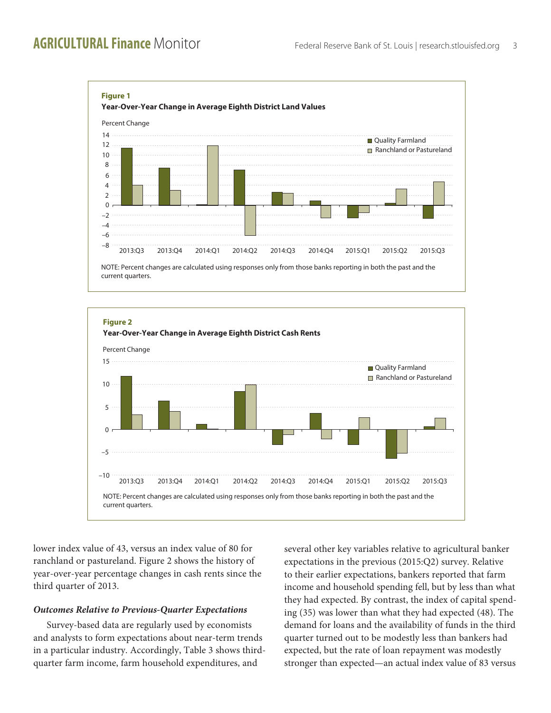



lower index value of 43, versus an index value of 80 for ranchland or pastureland. Figure 2 shows the history of year-over-year percentage changes in cash rents since the third quarter of 2013.

# *Outcomes Relative to Previous-Quarter Expectations*

Survey-based data are regularly used by economists and analysts to form expectations about near-term trends in a particular industry. Accordingly, Table 3 shows thirdquarter farm income, farm household expenditures, and

several other key variables relative to agricultural banker expectations in the previous (2015:Q2) survey. Relative to their earlier expectations, bankers reported that farm income and household spending fell, but by less than what they had expected. By contrast, the index of capital spending (35) was lower than what they had expected (48). The demand for loans and the availability of funds in the third quarter turned out to be modestly less than bankers had expected, but the rate of loan repayment was modestly stronger than expected—an actual index value of 83 versus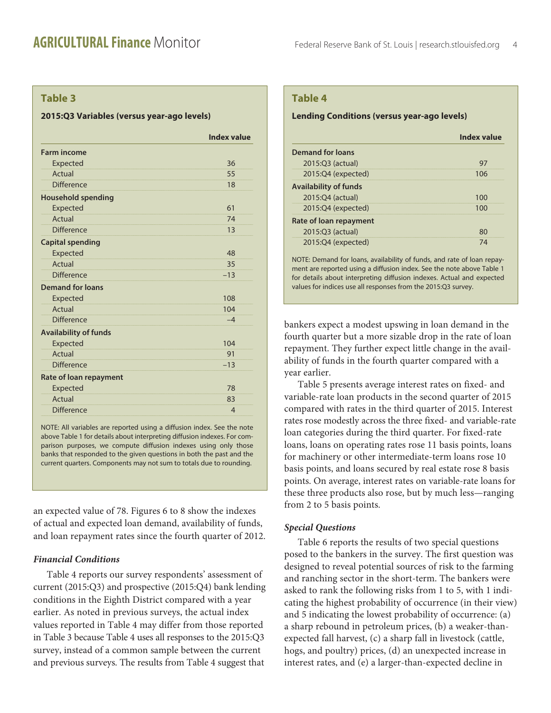# **Table 3**

#### **2015:Q3 Variables (versus year-ago levels)**

|                              | <b>Index value</b> |
|------------------------------|--------------------|
| <b>Farm income</b>           |                    |
| Expected                     | 36                 |
| Actual                       | 55                 |
| Difference                   | 18                 |
| <b>Household spending</b>    |                    |
| Expected                     | 61                 |
| Actual                       | 74                 |
| Difference                   | 13                 |
| <b>Capital spending</b>      |                    |
| Expected                     | 48                 |
| Actual                       | 35                 |
| <b>Difference</b>            | $-13$              |
| <b>Demand for loans</b>      |                    |
| Expected                     | 108                |
| Actual                       | 104                |
| <b>Difference</b>            | $-4$               |
| <b>Availability of funds</b> |                    |
| Expected                     | 104                |
| Actual                       | 91                 |
| <b>Difference</b>            | $-13$              |
| Rate of loan repayment       |                    |
| Expected                     | 78                 |
| Actual                       | 83                 |
| Difference                   | $\overline{4}$     |

NOTE: All variables are reported using a diffusion index. See the note above Table 1 for details about interpreting diffusion indexes. For comparison purposes, we compute diffusion indexes using only those banks that responded to the given questions in both the past and the current quarters. Components may not sum to totals due to rounding.

an expected value of 78. Figures 6 to 8 show the indexes of actual and expected loan demand, availability of funds, and loan repayment rates since the fourth quarter of 2012.

# *Financial Conditions*

Table 4 reports our survey respondents' assessment of current (2015:Q3) and prospective (2015:Q4) bank lending conditions in the Eighth District compared with a year earlier. As noted in previous surveys, the actual index values reported in Table 4 may differ from those reported in Table 3 because Table 4 uses all responses to the 2015:Q3 survey, instead of a common sample between the current and previous surveys. The results from Table 4 suggest that

# **Table 4**

#### **Lending Conditions (versus year-ago levels)**

|                               | Index value |
|-------------------------------|-------------|
| Demand for loans              |             |
| 2015:Q3 (actual)              | 97          |
| 2015:Q4 (expected)            | 106         |
| <b>Availability of funds</b>  |             |
| 2015:04 (actual)              | 100         |
| $2015:Q4$ (expected)          | 100         |
| <b>Rate of loan repayment</b> |             |
| 2015:Q3 (actual)              | 80          |
| 2015:Q4 (expected)            | 74          |

NOTE: Demand for loans, availability of funds, and rate of loan repayment are reported using a diffusion index. See the note above Table 1 for details about interpreting diffusion indexes. Actual and expected values for indices use all responses from the 2015:Q3 survey.

bankers expect a modest upswing in loan demand in the fourth quarter but a more sizable drop in the rate of loan repayment. They further expect little change in the availability of funds in the fourth quarter compared with a year earlier.

Table 5 presents average interest rates on fixed- and variable-rate loan products in the second quarter of 2015 compared with rates in the third quarter of 2015. Interest rates rose modestly across the three fixed- and variable-rate loan categories during the third quarter. For fixed-rate loans, loans on operating rates rose 11 basis points, loans for machinery or other intermediate-term loans rose 10 basis points, and loans secured by real estate rose 8 basis points. On average, interest rates on variable-rate loans for these three products also rose, but by much less—ranging from 2 to 5 basis points.

### *Special Questions*

Table 6 reports the results of two special questions posed to the bankers in the survey. The first question was designed to reveal potential sources of risk to the farming and ranching sector in the short-term. The bankers were asked to rank the following risks from 1 to 5, with 1 indicating the highest probability of occurrence (in their view) and 5 indicating the lowest probability of occurrence: (a) a sharp rebound in petroleum prices, (b) a weaker-thanexpected fall harvest, (c) a sharp fall in livestock (cattle, hogs, and poultry) prices, (d) an unexpected increase in interest rates, and (e) a larger-than-expected decline in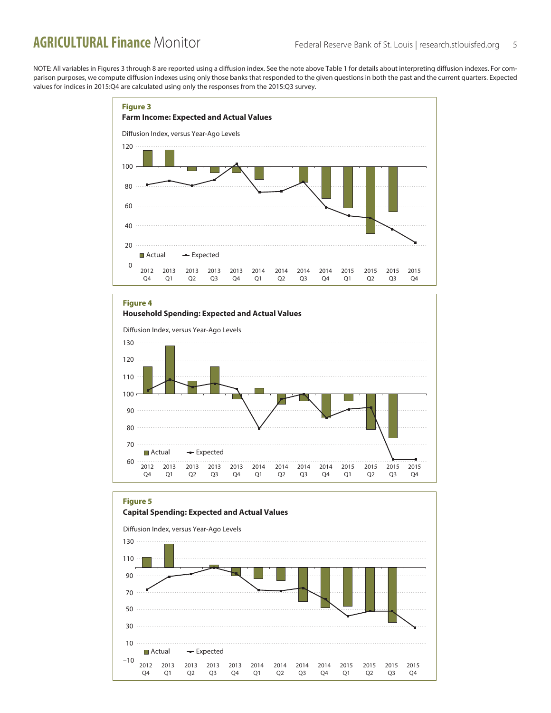# **AGRICULTURAL Finance** Monitor Federal Reserve Bank of St. Louis | research.stlouisfed.org 5

NOTE: All variables in Figures 3 through 8 are reported using a diffusion index. See the note above Table 1 for details about interpreting diffusion indexes. For comparison purposes, we compute diffusion indexes using only those banks that responded to the given questions in both the past and the current quarters. Expected values for indices in 2015:Q4 are calculated using only the responses from the 2015:Q3 survey.





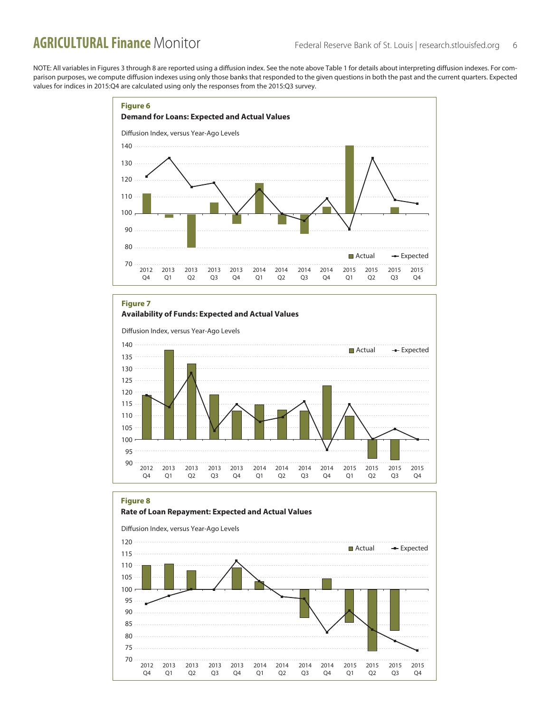# **AGRICULTURAL Finance** Monitor Federal Reserve Bank of St. Louis | research.stlouisfed.org 6

NOTE: All variables in Figures 3 through 8 are reported using a diffusion index. See the note above Table 1 for details about interpreting diffusion indexes. For comparison purposes, we compute diffusion indexes using only those banks that responded to the given questions in both the past and the current quarters. Expected values for indices in 2015:Q4 are calculated using only the responses from the 2015:Q3 survey.



# **Figure 7**



#### **Figure 8**

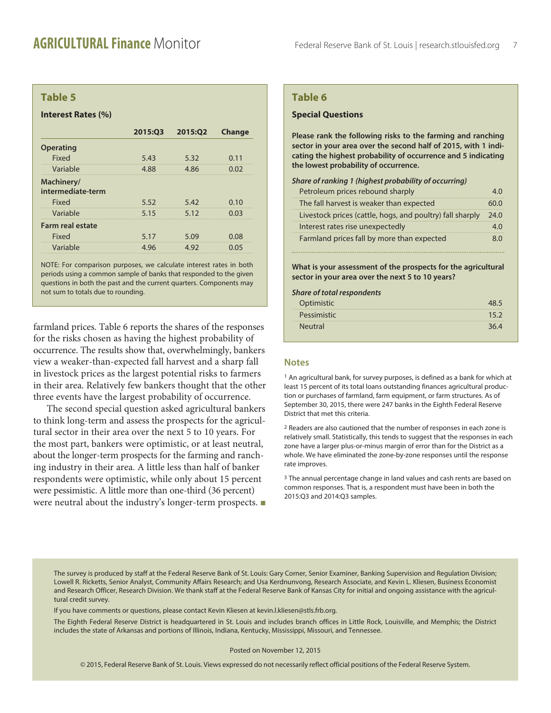### **Table 5**

#### **Interest Rates (%)**

|                                 | 2015:Q3 | 2015:02 | <b>Change</b> |
|---------------------------------|---------|---------|---------------|
| <b>Operating</b>                |         |         |               |
| Fixed                           | 5.43    | 5.32    | 0.11          |
| Variable                        | 4.88    | 4.86    | 0.02          |
| Machinery/<br>intermediate-term |         |         |               |
| Fixed                           | 5.52    | 5.42    | 0.10          |
| Variable                        | 5.15    | 5.12    | 0.03          |
| <b>Farm real estate</b>         |         |         |               |
| Fixed                           | 5.17    | 5.09    | 0.08          |
| Variable                        | 4.96    | 4.92    | 0.05          |
|                                 |         |         |               |

NOTE: For comparison purposes, we calculate interest rates in both periods using a common sample of banks that responded to the given questions in both the past and the current quarters. Components may not sum to totals due to rounding.

farmland prices. Table 6 reports the shares of the responses for the risks chosen as having the highest probability of occurrence. The results show that, overwhelmingly, bankers view a weaker-than-expected fall harvest and a sharp fall in livestock prices as the largest potential risks to farmers in their area. Relatively few bankers thought that the other three events have the largest probability of occurrence.

The second special question asked agricultural bankers to think long-term and assess the prospects for the agricultural sector in their area over the next 5 to 10 years. For the most part, bankers were optimistic, or at least neutral, about the longer-term prospects for the farming and ranching industry in their area. A little less than half of banker respondents were optimistic, while only about 15 percent were pessimistic. A little more than one-third (36 percent) were neutral about the industry's longer-term prospects.  $\blacksquare$ 

### **Table 6**

#### **Special Questions**

**Please rank the following risks to the farming and ranching sector in your area over the second half of 2015, with 1 indicating the highest probability of occurrence and 5 indicating the lowest probability of occurrence.**

*Share of ranking 1 (highest probability of occurring)*

| Petroleum prices rebound sharply                          | 4 በ  |
|-----------------------------------------------------------|------|
| The fall harvest is weaker than expected                  | 60.0 |
| Livestock prices (cattle, hogs, and poultry) fall sharply | 24.0 |
| Interest rates rise unexpectedly                          | 4 በ  |
| Farmland prices fall by more than expected                | 8 O  |
|                                                           |      |

**What is your assessment of the prospects for the agricultural sector in your area over the next 5 to 10 years?**

| <b>Share of total respondents</b> |  |
|-----------------------------------|--|
|-----------------------------------|--|

| Optimistic     |      |
|----------------|------|
| Pessimistic    |      |
| <b>Neutral</b> | 36 A |

#### **Notes**

1 An agricultural bank, for survey purposes, is defined as a bank for which at least 15 percent of its total loans outstanding finances agricultural production or purchases of farmland, farm equipment, or farm structures. As of September 30, 2015, there were 247 banks in the Eighth Federal Reserve District that met this criteria.

2 Readers are also cautioned that the number of responses in each zone is relatively small. Statistically, this tends to suggest that the responses in each zone have a larger plus-or-minus margin of error than for the District as a whole. We have eliminated the zone-by-zone responses until the response rate improves.

<sup>3</sup> The annual percentage change in land values and cash rents are based on common responses. That is, a respondent must have been in both the 2015:Q3 and 2014:Q3 samples.

The survey is produced by staff at the Federal Reserve Bank of St. Louis: Gary Corner, Senior Examiner, Banking Supervision and Regulation Division; Lowell R. Ricketts, Senior Analyst, Community Affairs Research; and Usa Kerdnunvong, Research Associate, and Kevin L. Kliesen, Business Economist and Research Officer, Research Division. We thank staff at the Federal Reserve Bank of Kansas City for initial and ongoing assistance with the agricultural credit survey.

If you have comments or questions, please contact Kevin Kliesen at kevin.l.kliesen@stls.frb.org.

The Eighth Federal Reserve District is headquartered in St. Louis and includes branch offices in Little Rock, Louisville, and Memphis; the District includes the state of Arkansas and portions of Illinois, Indiana, Kentucky, Mississippi, Missouri, and Tennessee.

#### Posted on November 12, 2015

© 2015, Federal Reserve Bank of St. Louis. Views expressed do not necessarily reflect official positions of the Federal Reserve System.